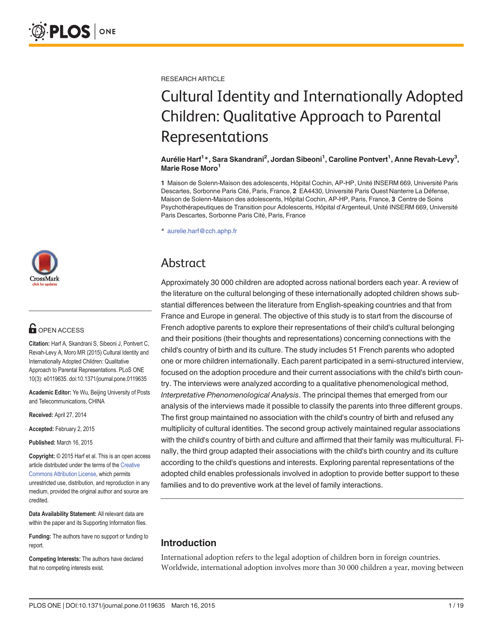RESEARCH ARTICLE

# Cultural Identity and Internationally Adopted Children: Qualitative Approach to Parental Representations

#### Aurélie Harf<sup>1</sup>\*, Sara Skandrani<sup>2</sup>, Jordan Sibeoni<sup>1</sup>, Caroline Pontvert<sup>1</sup>, Anne Revah-Levy<sup>3</sup>, Marie Rose Moro<sup>1</sup>

1 Maison de Solenn-Maison des adolescents, Hôpital Cochin, AP-HP, Unité INSERM 669, Université Paris Descartes, Sorbonne Paris Cité, Paris, France, 2 EA4430, Université Paris Ouest Nanterre La Défense, Maison de Solenn-Maison des adolescents, Hôpital Cochin, AP-HP, Paris, France, 3 Centre de Soins Psychothérapeutiques de Transition pour Adolescents, Hôpital d'Argenteuil, Unité INSERM 669, Université Paris Descartes, Sorbonne Paris Cité, Paris, France

\* aurelie.harf@cch.aphp.fr

# Abstract

Approximately 30 000 children are adopted across national borders each year. A review of the literature on the cultural belonging of these internationally adopted children shows substantial differences between the literature from English-speaking countries and that from France and Europe in general. The objective of this study is to start from the discourse of French adoptive parents to explore their representations of their child's cultural belonging and their positions (their thoughts and representations) concerning connections with the child's country of birth and its culture. The study includes 51 French parents who adopted one or more children internationally. Each parent participated in a semi-structured interview, focused on the adoption procedure and their current associations with the child's birth country. The interviews were analyzed according to a qualitative phenomenological method, Interpretative Phenomenological Analysis. The principal themes that emerged from our analysis of the interviews made it possible to classify the parents into three different groups. The first group maintained no association with the child's country of birth and refused any multiplicity of cultural identities. The second group actively maintained regular associations with the child's country of birth and culture and affirmed that their family was multicultural. Finally, the third group adapted their associations with the child's birth country and its culture according to the child's questions and interests. Exploring parental representations of the adopted child enables professionals involved in adoption to provide better support to these families and to do preventive work at the level of family interactions.

# Introduction

International adoption refers to the legal adoption of children born in foreign countries. Worldwide, international adoption involves more than 30 000 children a year, moving between



# **OPEN ACCESS**

Citation: Harf A, Skandrani S, Sibeoni J, Pontvert C, Revah-Levy A, Moro MR (2015) Cultural Identity and Internationally Adopted Children: Qualitative Approach to Parental Representations. PLoS ONE 10(3): e0119635. doi:10.1371/journal.pone.0119635

Academic Editor: Ye Wu, Beijing University of Posts and Telecommunications, CHINA

Received: April 27, 2014

Accepted: February 2, 2015

Published: March 16, 2015

Copyright: © 2015 Harf et al. This is an open access article distributed under the terms of the [Creative](http://creativecommons.org/licenses/by/4.0/) [Commons Attribution License](http://creativecommons.org/licenses/by/4.0/), which permits unrestricted use, distribution, and reproduction in any medium, provided the original author and source are credited.

Data Availability Statement: All relevant data are within the paper and its Supporting Information files.

Funding: The authors have no support or funding to report.

Competing Interests: The authors have declared that no competing interests exist.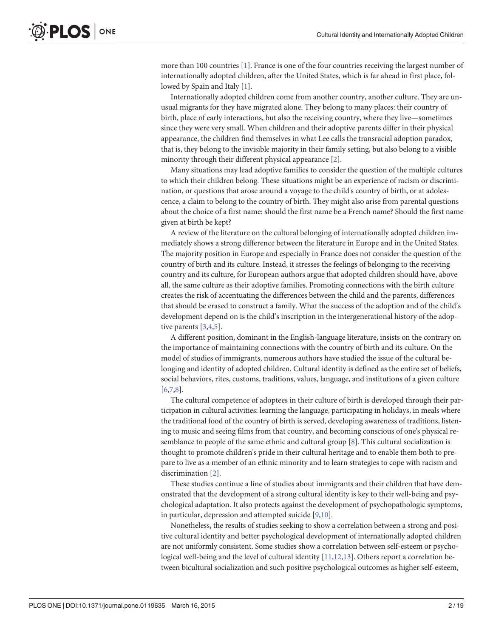<span id="page-1-0"></span>more than 100 countries [[1](#page-16-0)]. France is one of the four countries receiving the largest number of internationally adopted children, after the United States, which is far ahead in first place, followed by Spain and Italy [[1\]](#page-16-0).

Internationally adopted children come from another country, another culture. They are unusual migrants for they have migrated alone. They belong to many places: their country of birth, place of early interactions, but also the receiving country, where they live—sometimes since they were very small. When children and their adoptive parents differ in their physical appearance, the children find themselves in what Lee calls the transracial adoption paradox, that is, they belong to the invisible majority in their family setting, but also belong to a visible minority through their different physical appearance [\[2](#page-16-0)].

Many situations may lead adoptive families to consider the question of the multiple cultures to which their children belong. These situations might be an experience of racism or discrimination, or questions that arose around a voyage to the child's country of birth, or at adolescence, a claim to belong to the country of birth. They might also arise from parental questions about the choice of a first name: should the first name be a French name? Should the first name given at birth be kept?

A review of the literature on the cultural belonging of internationally adopted children immediately shows a strong difference between the literature in Europe and in the United States. The majority position in Europe and especially in France does not consider the question of the country of birth and its culture. Instead, it stresses the feelings of belonging to the receiving country and its culture, for European authors argue that adopted children should have, above all, the same culture as their adoptive families. Promoting connections with the birth culture creates the risk of accentuating the differences between the child and the parents, differences that should be erased to construct a family. What the success of the adoption and of the child's development depend on is the child's inscription in the intergenerational history of the adoptive parents [[3,4,5](#page-16-0)].

A different position, dominant in the English-language literature, insists on the contrary on the importance of maintaining connections with the country of birth and its culture. On the model of studies of immigrants, numerous authors have studied the issue of the cultural belonging and identity of adopted children. Cultural identity is defined as the entire set of beliefs, social behaviors, rites, customs, traditions, values, language, and institutions of a given culture  $[6,7,8]$  $[6,7,8]$ .

The cultural competence of adoptees in their culture of birth is developed through their participation in cultural activities: learning the language, participating in holidays, in meals where the traditional food of the country of birth is served, developing awareness of traditions, listening to music and seeing films from that country, and becoming conscious of one's physical resemblance to people of the same ethnic and cultural group [\[8\]](#page-16-0). This cultural socialization is thought to promote children's pride in their cultural heritage and to enable them both to prepare to live as a member of an ethnic minority and to learn strategies to cope with racism and discrimination [\[2\]](#page-16-0).

These studies continue a line of studies about immigrants and their children that have demonstrated that the development of a strong cultural identity is key to their well-being and psychological adaptation. It also protects against the development of psychopathologic symptoms, in particular, depression and attempted suicide [\[9,10\]](#page-16-0).

Nonetheless, the results of studies seeking to show a correlation between a strong and positive cultural identity and better psychological development of internationally adopted children are not uniformly consistent. Some studies show a correlation between self-esteem or psychological well-being and the level of cultural identity  $[11,12,13]$  $[11,12,13]$  $[11,12,13]$  $[11,12,13]$ . Others report a correlation between bicultural socialization and such positive psychological outcomes as higher self-esteem,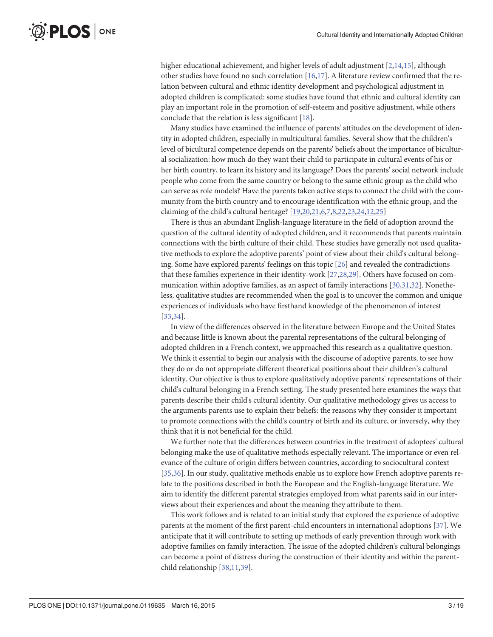<span id="page-2-0"></span>higher educational achievement, and higher levels of adult adjustment [[2](#page-16-0),[14,15\]](#page-17-0), although other studies have found no such correlation [\[16,17](#page-17-0)]. A literature review confirmed that the relation between cultural and ethnic identity development and psychological adjustment in adopted children is complicated: some studies have found that ethnic and cultural identity can play an important role in the promotion of self-esteem and positive adjustment, while others conclude that the relation is less significant [\[18\]](#page-17-0).

Many studies have examined the influence of parents' attitudes on the development of identity in adopted children, especially in multicultural families. Several show that the children's level of bicultural competence depends on the parents' beliefs about the importance of bicultural socialization: how much do they want their child to participate in cultural events of his or her birth country, to learn its history and its language? Does the parents' social network include people who come from the same country or belong to the same ethnic group as the child who can serve as role models? Have the parents taken active steps to connect the child with the community from the birth country and to encourage identification with the ethnic group, and the claiming of the child's cultural heritage? [\[19,20,21,](#page-17-0)[6,7,8,](#page-16-0)[22](#page-17-0),[23,24,12,25](#page-17-0)]

There is thus an abundant English-language literature in the field of adoption around the question of the cultural identity of adopted children, and it recommends that parents maintain connections with the birth culture of their child. These studies have generally not used qualitative methods to explore the adoptive parents' point of view about their child's cultural belonging. Some have explored parents' feelings on this topic [\[26\]](#page-17-0) and revealed the contradictions that these families experience in their identity-work [[27,28,29\]](#page-17-0). Others have focused on communication within adoptive families, as an aspect of family interactions [\[30,31,32](#page-17-0)]. Nonetheless, qualitative studies are recommended when the goal is to uncover the common and unique experiences of individuals who have firsthand knowledge of the phenomenon of interest [\[33,34\]](#page-17-0).

In view of the differences observed in the literature between Europe and the United States and because little is known about the parental representations of the cultural belonging of adopted children in a French context, we approached this research as a qualitative question. We think it essential to begin our analysis with the discourse of adoptive parents, to see how they do or do not appropriate different theoretical positions about their children's cultural identity. Our objective is thus to explore qualitatively adoptive parents' representations of their child's cultural belonging in a French setting. The study presented here examines the ways that parents describe their child's cultural identity. Our qualitative methodology gives us access to the arguments parents use to explain their beliefs: the reasons why they consider it important to promote connections with the child's country of birth and its culture, or inversely, why they think that it is not beneficial for the child.

We further note that the differences between countries in the treatment of adoptees' cultural belonging make the use of qualitative methods especially relevant. The importance or even relevance of the culture of origin differs between countries, according to sociocultural context [\[35,36\]](#page-17-0). In our study, qualitative methods enable us to explore how French adoptive parents relate to the positions described in both the European and the English-language literature. We aim to identify the different parental strategies employed from what parents said in our interviews about their experiences and about the meaning they attribute to them.

This work follows and is related to an initial study that explored the experience of adoptive parents at the moment of the first parent-child encounters in international adoptions [[37](#page-18-0)]. We anticipate that it will contribute to setting up methods of early prevention through work with adoptive families on family interaction. The issue of the adopted children's cultural belongings can become a point of distress during the construction of their identity and within the parentchild relationship [\[38,](#page-18-0)[11,](#page-16-0)[39](#page-18-0)].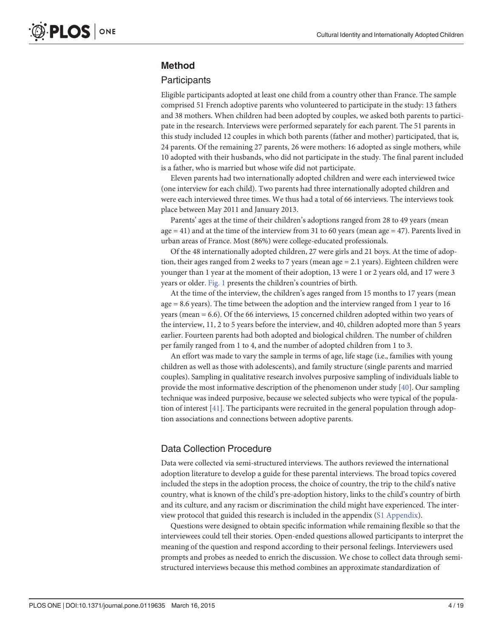# <span id="page-3-0"></span>Method

## **Participants**

Eligible participants adopted at least one child from a country other than France. The sample comprised 51 French adoptive parents who volunteered to participate in the study: 13 fathers and 38 mothers. When children had been adopted by couples, we asked both parents to participate in the research. Interviews were performed separately for each parent. The 51 parents in this study included 12 couples in which both parents (father and mother) participated, that is, 24 parents. Of the remaining 27 parents, 26 were mothers: 16 adopted as single mothers, while 10 adopted with their husbands, who did not participate in the study. The final parent included is a father, who is married but whose wife did not participate.

Eleven parents had two internationally adopted children and were each interviewed twice (one interview for each child). Two parents had three internationally adopted children and were each interviewed three times. We thus had a total of 66 interviews. The interviews took place between May 2011 and January 2013.

Parents' ages at the time of their children's adoptions ranged from 28 to 49 years (mean age  $= 41$ ) and at the time of the interview from 31 to 60 years (mean age  $= 47$ ). Parents lived in urban areas of France. Most (86%) were college-educated professionals.

Of the 48 internationally adopted children, 27 were girls and 21 boys. At the time of adoption, their ages ranged from 2 weeks to 7 years (mean age = 2.1 years). Eighteen children were younger than 1 year at the moment of their adoption, 13 were 1 or 2 years old, and 17 were 3 years or older. [Fig. 1](#page-4-0) presents the children's countries of birth.

At the time of the interview, the children's ages ranged from 15 months to 17 years (mean age  $= 8.6$  years). The time between the adoption and the interview ranged from 1 year to 16 years (mean = 6.6). Of the 66 interviews, 15 concerned children adopted within two years of the interview, 11, 2 to 5 years before the interview, and 40, children adopted more than 5 years earlier. Fourteen parents had both adopted and biological children. The number of children per family ranged from 1 to 4, and the number of adopted children from 1 to 3.

An effort was made to vary the sample in terms of age, life stage (i.e., families with young children as well as those with adolescents), and family structure (single parents and married couples). Sampling in qualitative research involves purposive sampling of individuals liable to provide the most informative description of the phenomenon under study [[40](#page-18-0)]. Our sampling technique was indeed purposive, because we selected subjects who were typical of the population of interest  $[41]$  $[41]$  $[41]$ . The participants were recruited in the general population through adoption associations and connections between adoptive parents.

# Data Collection Procedure

Data were collected via semi-structured interviews. The authors reviewed the international adoption literature to develop a guide for these parental interviews. The broad topics covered included the steps in the adoption process, the choice of country, the trip to the child's native country, what is known of the child's pre-adoption history, links to the child's country of birth and its culture, and any racism or discrimination the child might have experienced. The interview protocol that guided this research is included in the appendix [\(S1 Appendix](#page-16-0)).

Questions were designed to obtain specific information while remaining flexible so that the interviewees could tell their stories. Open-ended questions allowed participants to interpret the meaning of the question and respond according to their personal feelings. Interviewers used prompts and probes as needed to enrich the discussion. We chose to collect data through semistructured interviews because this method combines an approximate standardization of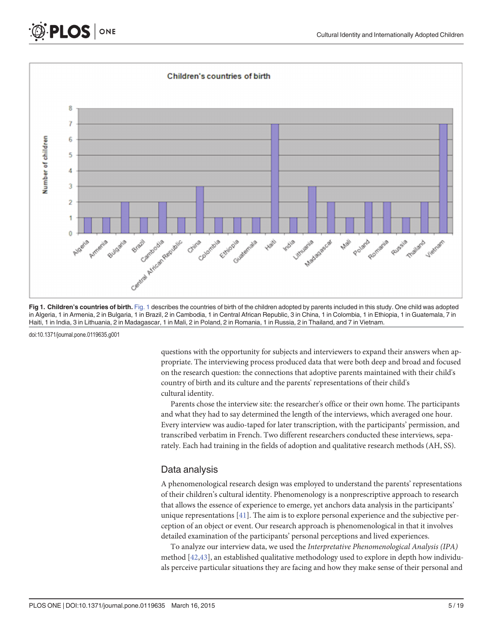<span id="page-4-0"></span>



[Fig 1. C](#page-3-0)hildren's countries of birth. Fig. 1 describes the countries of birth of the children adopted by parents included in this study. One child was adopted in Algeria, 1 in Armenia, 2 in Bulgaria, 1 in Brazil, 2 in Cambodia, 1 in Central African Republic, 3 in China, 1 in Colombia, 1 in Ethiopia, 1 in Guatemala, 7 in Haiti, 1 in India, 3 in Lithuania, 2 in Madagascar, 1 in Mali, 2 in Poland, 2 in Romania, 1 in Russia, 2 in Thailand, and 7 in Vietnam.

doi:10.1371/journal.pone.0119635.g001

questions with the opportunity for subjects and interviewers to expand their answers when appropriate. The interviewing process produced data that were both deep and broad and focused on the research question: the connections that adoptive parents maintained with their child's country of birth and its culture and the parents' representations of their child's cultural identity.

Parents chose the interview site: the researcher's office or their own home. The participants and what they had to say determined the length of the interviews, which averaged one hour. Every interview was audio-taped for later transcription, with the participants' permission, and transcribed verbatim in French. Two different researchers conducted these interviews, separately. Each had training in the fields of adoption and qualitative research methods (AH, SS).

# Data analysis

A phenomenological research design was employed to understand the parents' representations of their children's cultural identity. Phenomenology is a nonprescriptive approach to research that allows the essence of experience to emerge, yet anchors data analysis in the participants' unique representations  $[41]$  $[41]$  $[41]$ . The aim is to explore personal experience and the subjective perception of an object or event. Our research approach is phenomenological in that it involves detailed examination of the participants' personal perceptions and lived experiences.

To analyze our interview data, we used the Interpretative Phenomenological Analysis (IPA) method [\[42,43\]](#page-18-0), an established qualitative methodology used to explore in depth how individuals perceive particular situations they are facing and how they make sense of their personal and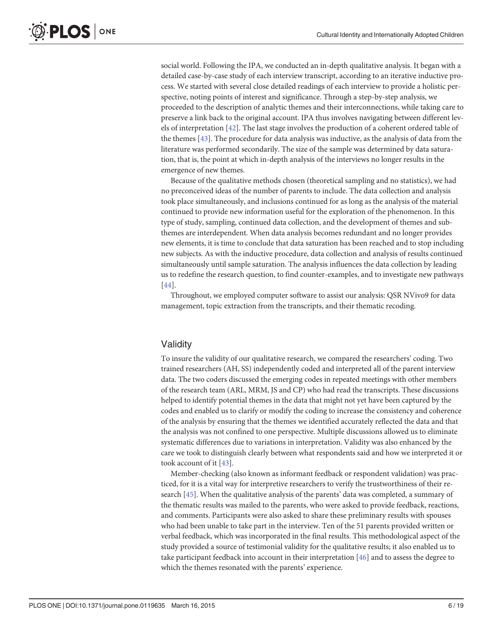<span id="page-5-0"></span>social world. Following the IPA, we conducted an in-depth qualitative analysis. It began with a detailed case-by-case study of each interview transcript, according to an iterative inductive process. We started with several close detailed readings of each interview to provide a holistic perspective, noting points of interest and significance. Through a step-by-step analysis, we proceeded to the description of analytic themes and their interconnections, while taking care to preserve a link back to the original account. IPA thus involves navigating between different levels of interpretation [[42](#page-18-0)]. The last stage involves the production of a coherent ordered table of the themes [[43](#page-18-0)]. The procedure for data analysis was inductive, as the analysis of data from the literature was performed secondarily. The size of the sample was determined by data saturation, that is, the point at which in-depth analysis of the interviews no longer results in the emergence of new themes.

Because of the qualitative methods chosen (theoretical sampling and no statistics), we had no preconceived ideas of the number of parents to include. The data collection and analysis took place simultaneously, and inclusions continued for as long as the analysis of the material continued to provide new information useful for the exploration of the phenomenon. In this type of study, sampling, continued data collection, and the development of themes and subthemes are interdependent. When data analysis becomes redundant and no longer provides new elements, it is time to conclude that data saturation has been reached and to stop including new subjects. As with the inductive procedure, data collection and analysis of results continued simultaneously until sample saturation. The analysis influences the data collection by leading us to redefine the research question, to find counter-examples, and to investigate new pathways [\[44](#page-18-0)].

Throughout, we employed computer software to assist our analysis: QSR NVivo9 for data management, topic extraction from the transcripts, and their thematic recoding.

## Validity

To insure the validity of our qualitative research, we compared the researchers' coding. Two trained researchers (AH, SS) independently coded and interpreted all of the parent interview data. The two coders discussed the emerging codes in repeated meetings with other members of the research team (ARL, MRM, JS and CP) who had read the transcripts. These discussions helped to identify potential themes in the data that might not yet have been captured by the codes and enabled us to clarify or modify the coding to increase the consistency and coherence of the analysis by ensuring that the themes we identified accurately reflected the data and that the analysis was not confined to one perspective. Multiple discussions allowed us to eliminate systematic differences due to variations in interpretation. Validity was also enhanced by the care we took to distinguish clearly between what respondents said and how we interpreted it or took account of it [\[43\]](#page-18-0).

Member-checking (also known as informant feedback or respondent validation) was practiced, for it is a vital way for interpretive researchers to verify the trustworthiness of their research [[45\]](#page-18-0). When the qualitative analysis of the parents' data was completed, a summary of the thematic results was mailed to the parents, who were asked to provide feedback, reactions, and comments. Participants were also asked to share these preliminary results with spouses who had been unable to take part in the interview. Ten of the 51 parents provided written or verbal feedback, which was incorporated in the final results. This methodological aspect of the study provided a source of testimonial validity for the qualitative results; it also enabled us to take participant feedback into account in their interpretation [[46](#page-18-0)] and to assess the degree to which the themes resonated with the parents' experience.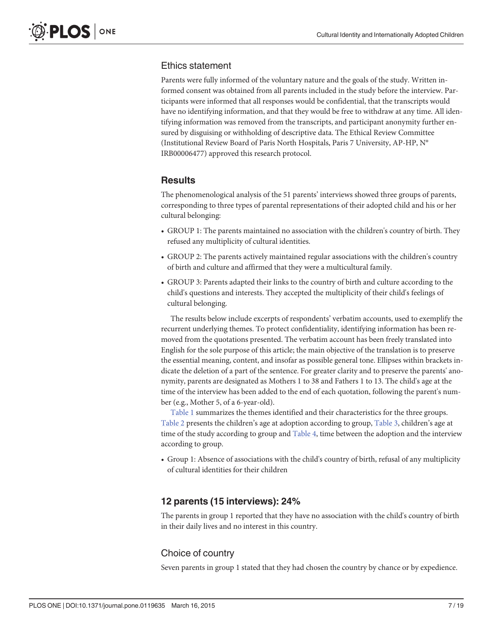# <span id="page-6-0"></span>Ethics statement

Parents were fully informed of the voluntary nature and the goals of the study. Written informed consent was obtained from all parents included in the study before the interview. Participants were informed that all responses would be confidential, that the transcripts would have no identifying information, and that they would be free to withdraw at any time. All identifying information was removed from the transcripts, and participant anonymity further ensured by disguising or withholding of descriptive data. The Ethical Review Committee (Institutional Review Board of Paris North Hospitals, Paris 7 University, AP-HP, N° IRB00006477) approved this research protocol.

# **Results**

The phenomenological analysis of the 51 parents' interviews showed three groups of parents, corresponding to three types of parental representations of their adopted child and his or her cultural belonging:

- GROUP 1: The parents maintained no association with the children's country of birth. They refused any multiplicity of cultural identities.
- GROUP 2: The parents actively maintained regular associations with the children's country of birth and culture and affirmed that they were a multicultural family.
- GROUP 3: Parents adapted their links to the country of birth and culture according to the child's questions and interests. They accepted the multiplicity of their child's feelings of cultural belonging.

The results below include excerpts of respondents' verbatim accounts, used to exemplify the recurrent underlying themes. To protect confidentiality, identifying information has been removed from the quotations presented. The verbatim account has been freely translated into English for the sole purpose of this article; the main objective of the translation is to preserve the essential meaning, content, and insofar as possible general tone. Ellipses within brackets indicate the deletion of a part of the sentence. For greater clarity and to preserve the parents' anonymity, parents are designated as Mothers 1 to 38 and Fathers 1 to 13. The child's age at the time of the interview has been added to the end of each quotation, following the parent's number (e.g., Mother 5, of a 6-year-old).

[Table 1](#page-7-0) summarizes the themes identified and their characteristics for the three groups. [Table 2](#page-7-0) presents the children's age at adoption according to group, [Table 3](#page-8-0), children's age at time of the study according to group and **Table 4**, time between the adoption and the interview according to group.

• Group 1: Absence of associations with the child's country of birth, refusal of any multiplicity of cultural identities for their children

# 12 parents (15 interviews): 24%

The parents in group 1 reported that they have no association with the child's country of birth in their daily lives and no interest in this country.

# Choice of country

Seven parents in group 1 stated that they had chosen the country by chance or by expedience.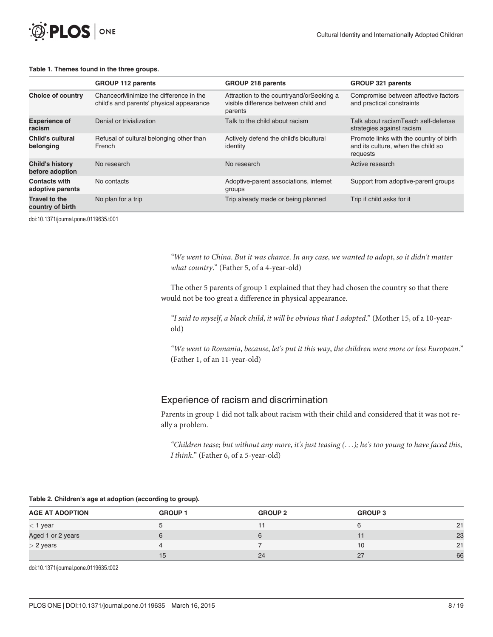#### <span id="page-7-0"></span>[Table 1.](#page-6-0) Themes found in the three groups.

|                                           | <b>GROUP 112 parents</b>                                                           | <b>GROUP 218 parents</b>                                                                    | <b>GROUP 321 parents</b>                                                                  |
|-------------------------------------------|------------------------------------------------------------------------------------|---------------------------------------------------------------------------------------------|-------------------------------------------------------------------------------------------|
| <b>Choice of country</b>                  | ChanceorMinimize the difference in the<br>child's and parents' physical appearance | Attraction to the countryand/orSeeking a<br>visible difference between child and<br>parents | Compromise between affective factors<br>and practical constraints                         |
| <b>Experience of</b><br>racism            | Denial or trivialization                                                           | Talk to the child about racism                                                              | Talk about racismTeach self-defense<br>strategies against racism                          |
| Child's cultural<br>belonging             | Refusal of cultural belonging other than<br>French                                 | Actively defend the child's bicultural<br>identity                                          | Promote links with the country of birth<br>and its culture, when the child so<br>requests |
| <b>Child's history</b><br>before adoption | No research                                                                        | No research                                                                                 | Active research                                                                           |
| <b>Contacts with</b><br>adoptive parents  | No contacts                                                                        | Adoptive-parent associations, internet<br>groups                                            | Support from adoptive-parent groups                                                       |
| <b>Travel to the</b><br>country of birth  | No plan for a trip                                                                 | Trip already made or being planned                                                          | Trip if child asks for it                                                                 |

doi:10.1371/journal.pone.0119635.t001

"We went to China. But it was chance. In any case, we wanted to adopt, so it didn't matter what country." (Father 5, of a 4-year-old)

The other 5 parents of group 1 explained that they had chosen the country so that there would not be too great a difference in physical appearance.

"I said to myself, a black child, it will be obvious that I adopted." (Mother 15, of a 10-yearold)

"We went to Romania, because, let's put it this way, the children were more or less European." (Father 1, of an 11-year-old)

# Experience of racism and discrimination

Parents in group 1 did not talk about racism with their child and considered that it was not really a problem.

"Children tease; but without any more, it's just teasing  $(...)$ ; he's too young to have faced this, I think." (Father 6, of a 5-year-old)

| <b>AGE AT ADOPTION</b> | <b>GROUP 1</b> | <b>GROUP 2</b> | <b>GROUP 3</b> |    |
|------------------------|----------------|----------------|----------------|----|
| $<$ 1 year             |                |                |                | 21 |
| Aged 1 or 2 years      |                |                |                | 23 |
| $>$ 2 years            |                |                |                | 21 |
|                        | 15             | 24             | 27             | 66 |

#### [Table 2.](#page-6-0) Children's age at adoption (according to group).

doi:10.1371/journal.pone.0119635.t002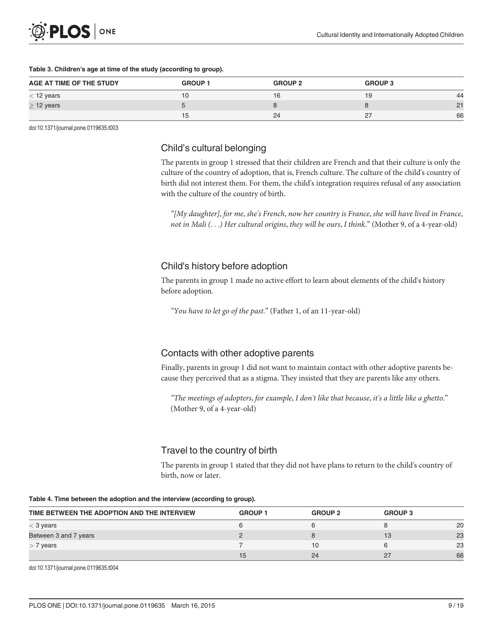<span id="page-8-0"></span>

#### [Table 3.](#page-6-0) Children's age at time of the study (according to group).

| AGE AT TIME OF THE STUDY | <b>GROUP 1</b>           | <b>GROUP 2</b> | <b>GROUP 3</b> |     |
|--------------------------|--------------------------|----------------|----------------|-----|
| $<$ 12 years             |                          |                | 19             | 44  |
| $\geq$ 12 years          |                          |                |                | n-1 |
|                          | $\overline{\phantom{a}}$ | 24             |                | 66  |

doi:10.1371/journal.pone.0119635.t003

# Child's cultural belonging

The parents in group 1 stressed that their children are French and that their culture is only the culture of the country of adoption, that is, French culture. The culture of the child's country of birth did not interest them. For them, the child's integration requires refusal of any association with the culture of the country of birth.

"[My daughter], for me, she's French, now her country is France, she will have lived in France, not in Mali (...) Her cultural origins, they will be ours, I think." (Mother 9, of a 4-year-old)

# Child's history before adoption

The parents in group 1 made no active effort to learn about elements of the child's history before adoption.

"You have to let go of the past." (Father 1, of an 11-year-old)

# Contacts with other adoptive parents

Finally, parents in group 1 did not want to maintain contact with other adoptive parents because they perceived that as a stigma. They insisted that they are parents like any others.

"The meetings of adopters, for example, I don't like that because, it's a little like a ghetto." (Mother 9, of a 4-year-old)

# Travel to the country of birth

The parents in group 1 stated that they did not have plans to return to the child's country of birth, now or later.

| TIME BETWEEN THE ADOPTION AND THE INTERVIEW | <b>GROUP 1</b> | <b>GROUP 2</b> | <b>GROUP 3</b> |    |
|---------------------------------------------|----------------|----------------|----------------|----|
| $<$ 3 years                                 |                |                |                | 20 |
| Between 3 and 7 years                       |                |                |                | 23 |
| $>$ 7 years                                 |                | 10             |                | 23 |
|                                             |                | 24             | 27             | 66 |

#### [Table 4.](#page-6-0) Time between the adoption and the interview (according to group).

doi:10.1371/journal.pone.0119635.t004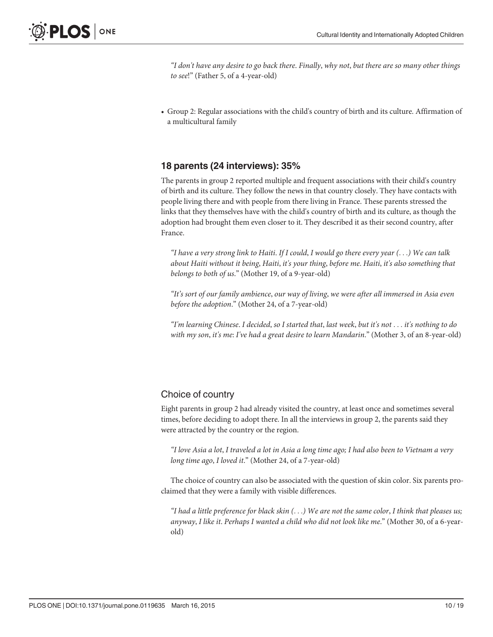"I don't have any desire to go back there. Finally, why not, but there are so many other things to see!" (Father 5, of a 4-year-old)

• Group 2: Regular associations with the child's country of birth and its culture. Affirmation of a multicultural family

# 18 parents (24 interviews): 35%

The parents in group 2 reported multiple and frequent associations with their child's country of birth and its culture. They follow the news in that country closely. They have contacts with people living there and with people from there living in France. These parents stressed the links that they themselves have with the child's country of birth and its culture, as though the adoption had brought them even closer to it. They described it as their second country, after France.

"I have a very strong link to Haiti. If I could, I would go there every year  $(...)$  We can talk about Haiti without it being, Haiti, it's your thing, before me. Haiti, it's also something that belongs to both of us." (Mother 19, of a 9-year-old)

"It's sort of our family ambience, our way of living, we were after all immersed in Asia even before the adoption." (Mother 24, of a 7-year-old)

"I'm learning Chinese. I decided, so I started that, last week, but it's not ... it's nothing to do with my son, it's me: I've had a great desire to learn Mandarin." (Mother 3, of an 8-year-old)

# Choice of country

Eight parents in group 2 had already visited the country, at least once and sometimes several times, before deciding to adopt there. In all the interviews in group 2, the parents said they were attracted by the country or the region.

"I love Asia a lot, I traveled a lot in Asia a long time ago; I had also been to Vietnam a very long time ago, I loved it." (Mother 24, of a 7-year-old)

The choice of country can also be associated with the question of skin color. Six parents proclaimed that they were a family with visible differences.

"I had a little preference for black skin  $(\ldots)$  We are not the same color, I think that pleases us; anyway, I like it. Perhaps I wanted a child who did not look like me." (Mother 30, of a 6-yearold)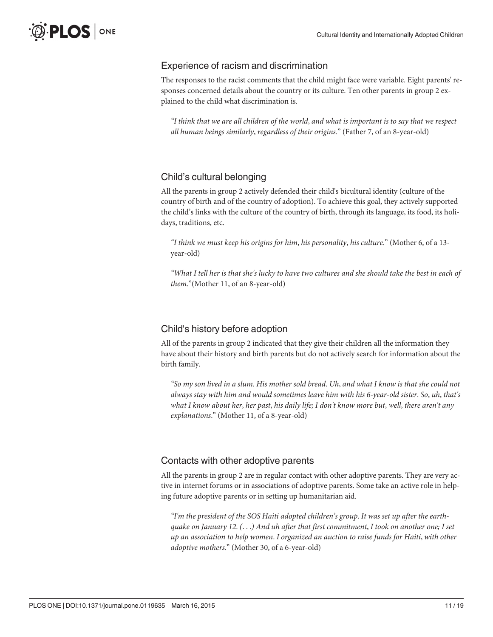# Experience of racism and discrimination

The responses to the racist comments that the child might face were variable. Eight parents' responses concerned details about the country or its culture. Ten other parents in group 2 explained to the child what discrimination is.

"I think that we are all children of the world, and what is important is to say that we respect all human beings similarly, regardless of their origins." (Father 7, of an 8-year-old)

# Child's cultural belonging

All the parents in group 2 actively defended their child's bicultural identity (culture of the country of birth and of the country of adoption). To achieve this goal, they actively supported the child's links with the culture of the country of birth, through its language, its food, its holidays, traditions, etc.

"I think we must keep his origins for him, his personality, his culture." (Mother 6, of a 13 year-old)

"What I tell her is that she's lucky to have two cultures and she should take the best in each of them."(Mother 11, of an 8-year-old)

# Child's history before adoption

All of the parents in group 2 indicated that they give their children all the information they have about their history and birth parents but do not actively search for information about the birth family.

"So my son lived in a slum. His mother sold bread. Uh, and what I know is that she could not always stay with him and would sometimes leave him with his 6-year-old sister. So, uh, that's what I know about her, her past, his daily life; I don't know more but, well, there aren't any explanations." (Mother 11, of a 8-year-old)

# Contacts with other adoptive parents

All the parents in group 2 are in regular contact with other adoptive parents. They are very active in internet forums or in associations of adoptive parents. Some take an active role in helping future adoptive parents or in setting up humanitarian aid.

"I'm the president of the SOS Haiti adopted children's group. It was set up after the earthquake on January 12. (...) And uh after that first commitment, I took on another one; I set up an association to help women. I organized an auction to raise funds for Haiti, with other adoptive mothers." (Mother 30, of a 6-year-old)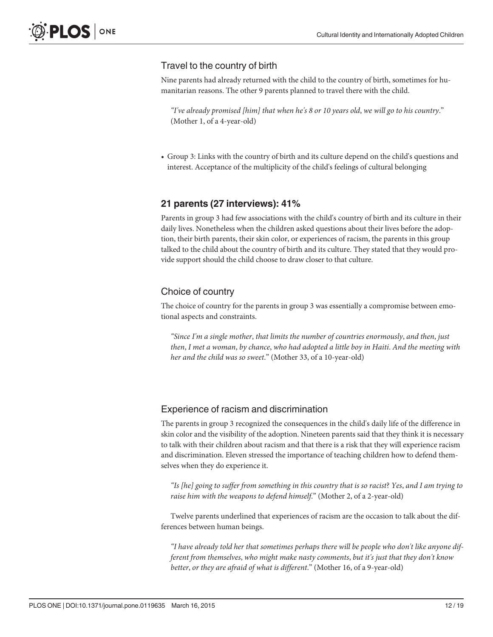# Travel to the country of birth

Nine parents had already returned with the child to the country of birth, sometimes for humanitarian reasons. The other 9 parents planned to travel there with the child.

"I've already promised [him] that when he's 8 or 10 years old, we will go to his country." (Mother 1, of a 4-year-old)

• Group 3: Links with the country of birth and its culture depend on the child's questions and interest. Acceptance of the multiplicity of the child's feelings of cultural belonging

# 21 parents (27 interviews): 41%

Parents in group 3 had few associations with the child's country of birth and its culture in their daily lives. Nonetheless when the children asked questions about their lives before the adoption, their birth parents, their skin color, or experiences of racism, the parents in this group talked to the child about the country of birth and its culture. They stated that they would provide support should the child choose to draw closer to that culture.

# Choice of country

The choice of country for the parents in group 3 was essentially a compromise between emotional aspects and constraints.

"Since I'm a single mother, that limits the number of countries enormously, and then, just then, I met a woman, by chance, who had adopted a little boy in Haiti. And the meeting with her and the child was so sweet." (Mother 33, of a 10-year-old)

# Experience of racism and discrimination

The parents in group 3 recognized the consequences in the child's daily life of the difference in skin color and the visibility of the adoption. Nineteen parents said that they think it is necessary to talk with their children about racism and that there is a risk that they will experience racism and discrimination. Eleven stressed the importance of teaching children how to defend themselves when they do experience it.

"Is [he] going to suffer from something in this country that is so racist? Yes, and I am trying to raise him with the weapons to defend himself." (Mother 2, of a 2-year-old)

Twelve parents underlined that experiences of racism are the occasion to talk about the differences between human beings.

"I have already told her that sometimes perhaps there will be people who don't like anyone different from themselves, who might make nasty comments, but it's just that they don't know better, or they are afraid of what is different." (Mother 16, of a 9-year-old)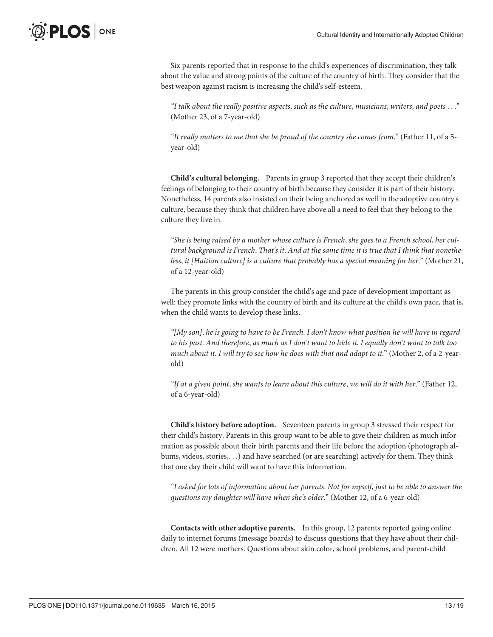Six parents reported that in response to the child's experiences of discrimination, they talk about the value and strong points of the culture of the country of birth. They consider that the best weapon against racism is increasing the child's self-esteem.

"I talk about the really positive aspects, such as the culture, musicians, writers, and poets ..." (Mother 23, of a 7-year-old)

"It really matters to me that she be proud of the country she comes from." (Father 11, of a 5 year-old)

Child's cultural belonging. Parents in group 3 reported that they accept their children's feelings of belonging to their country of birth because they consider it is part of their history. Nonetheless, 14 parents also insisted on their being anchored as well in the adoptive country's culture, because they think that children have above all a need to feel that they belong to the culture they live in.

"She is being raised by a mother whose culture is French, she goes to a French school, her cultural background is French. That's it. And at the same time it is true that I think that nonetheless, it [Haitian culture] is a culture that probably has a special meaning for her." (Mother 21, of a 12-year-old)

The parents in this group consider the child's age and pace of development important as well: they promote links with the country of birth and its culture at the child's own pace, that is, when the child wants to develop these links.

"[My son], he is going to have to be French. I don't know what position he will have in regard to his past. And therefore, as much as I don't want to hide it, I equally don't want to talk too much about it. I will try to see how he does with that and adapt to it." (Mother 2, of a 2-yearold)

"If at a given point, she wants to learn about this culture, we will do it with her." (Father 12, of a 6-year-old)

Child's history before adoption. Seventeen parents in group 3 stressed their respect for their child's history. Parents in this group want to be able to give their children as much information as possible about their birth parents and their life before the adoption (photograph albums, videos, stories,...) and have searched (or are searching) actively for them. They think that one day their child will want to have this information.

"I asked for lots of information about her parents. Not for myself, just to be able to answer the questions my daughter will have when she's older." (Mother 12, of a 6-year-old)

Contacts with other adoptive parents. In this group, 12 parents reported going online daily to internet forums (message boards) to discuss questions that they have about their children. All 12 were mothers. Questions about skin color, school problems, and parent-child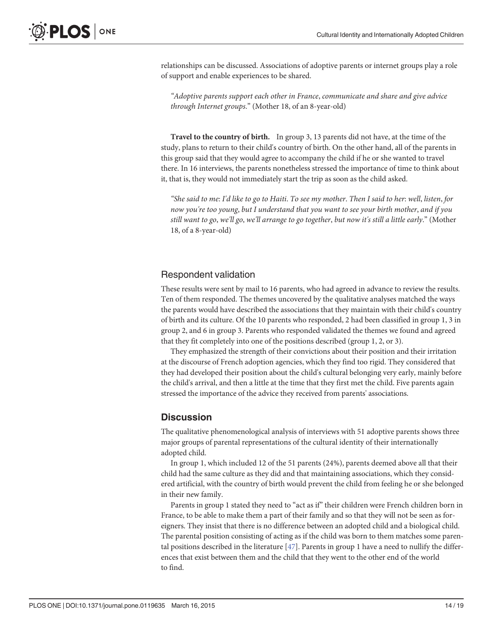<span id="page-13-0"></span>relationships can be discussed. Associations of adoptive parents or internet groups play a role of support and enable experiences to be shared.

"Adoptive parents support each other in France, communicate and share and give advice through Internet groups." (Mother 18, of an 8-year-old)

Travel to the country of birth. In group 3, 13 parents did not have, at the time of the study, plans to return to their child's country of birth. On the other hand, all of the parents in this group said that they would agree to accompany the child if he or she wanted to travel there. In 16 interviews, the parents nonetheless stressed the importance of time to think about it, that is, they would not immediately start the trip as soon as the child asked.

"She said to me: I'd like to go to Haiti. To see my mother. Then I said to her: well, listen, for now you're too young, but I understand that you want to see your birth mother, and if you still want to go, we'll go, we'll arrange to go together, but now it's still a little early." (Mother 18, of a 8-year-old)

## Respondent validation

These results were sent by mail to 16 parents, who had agreed in advance to review the results. Ten of them responded. The themes uncovered by the qualitative analyses matched the ways the parents would have described the associations that they maintain with their child's country of birth and its culture. Of the 10 parents who responded, 2 had been classified in group 1, 3 in group 2, and 6 in group 3. Parents who responded validated the themes we found and agreed that they fit completely into one of the positions described (group 1, 2, or 3).

They emphasized the strength of their convictions about their position and their irritation at the discourse of French adoption agencies, which they find too rigid. They considered that they had developed their position about the child's cultural belonging very early, mainly before the child's arrival, and then a little at the time that they first met the child. Five parents again stressed the importance of the advice they received from parents' associations.

# **Discussion**

The qualitative phenomenological analysis of interviews with 51 adoptive parents shows three major groups of parental representations of the cultural identity of their internationally adopted child.

In group 1, which included 12 of the 51 parents (24%), parents deemed above all that their child had the same culture as they did and that maintaining associations, which they considered artificial, with the country of birth would prevent the child from feeling he or she belonged in their new family.

Parents in group 1 stated they need to "act as if" their children were French children born in France, to be able to make them a part of their family and so that they will not be seen as foreigners. They insist that there is no difference between an adopted child and a biological child. The parental position consisting of acting as if the child was born to them matches some parental positions described in the literature  $[47]$ . Parents in group 1 have a need to nullify the differences that exist between them and the child that they went to the other end of the world to find.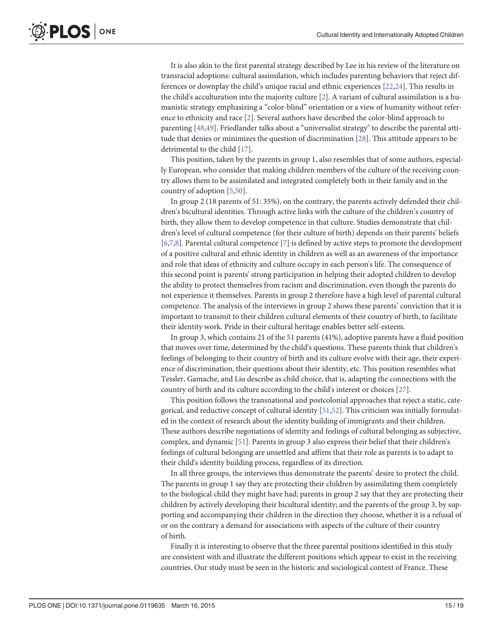<span id="page-14-0"></span>It is also akin to the first parental strategy described by Lee in his review of the literature on transracial adoptions: cultural assimilation, which includes parenting behaviors that reject differences or downplay the child's unique racial and ethnic experiences  $[22,24]$  $[22,24]$  $[22,24]$ . This results in the child's acculturation into the majority culture [[2](#page-16-0)]. A variant of cultural assimilation is a humanistic strategy emphasizing a "color-blind" orientation or a view of humanity without reference to ethnicity and race  $[2]$  $[2]$ . Several authors have described the color-blind approach to parenting [\[48,49](#page-18-0)]. Friedlander talks about a "universalist strategy" to describe the parental attitude that denies or minimizes the question of discrimination [\[28\]](#page-17-0). This attitude appears to be detrimental to the child [[17](#page-17-0)].

This position, taken by the parents in group 1, also resembles that of some authors, especially European, who consider that making children members of the culture of the receiving country allows them to be assimilated and integrated completely both in their family and in the country of adoption [[5,](#page-16-0)[50](#page-18-0)].

In group 2 (18 parents of 51: 35%), on the contrary, the parents actively defended their children's bicultural identities. Through active links with the culture of the children's country of birth, they allow them to develop competence in that culture. Studies demonstrate that children's level of cultural competence (for their culture of birth) depends on their parents' beliefs  $[6,7,8]$  $[6,7,8]$ . Parental cultural competence  $[7]$  $[7]$  $[7]$  is defined by active steps to promote the development of a positive cultural and ethnic identity in children as well as an awareness of the importance and role that ideas of ethnicity and culture occupy in each person's life. The consequence of this second point is parents' strong participation in helping their adopted children to develop the ability to protect themselves from racism and discrimination, even though the parents do not experience it themselves. Parents in group 2 therefore have a high level of parental cultural competence. The analysis of the interviews in group 2 shows these parents' conviction that it is important to transmit to their children cultural elements of their country of birth, to facilitate their identity work. Pride in their cultural heritage enables better self-esteem.

In group 3, which contains 21 of the 51 parents (41%), adoptive parents have a fluid position that moves over time, determined by the child's questions. These parents think that children's feelings of belonging to their country of birth and its culture evolve with their age, their experience of discrimination, their questions about their identity, etc. This position resembles what Tessler, Gamache, and Liu describe as child choice, that is, adapting the connections with the country of birth and its culture according to the child's interest or choices [\[27\]](#page-17-0).

This position follows the transnational and postcolonial approaches that reject a static, categorical, and reductive concept of cultural identity [\[51,52\]](#page-18-0). This criticism was initially formulated in the context of research about the identity building of immigrants and their children. These authors describe negotiations of identity and feelings of cultural belonging as subjective, complex, and dynamic [[51](#page-18-0)]. Parents in group 3 also express their belief that their children's feelings of cultural belonging are unsettled and affirm that their role as parents is to adapt to their child's identity building process, regardless of its direction.

In all three groups, the interviews thus demonstrate the parents' desire to protect the child. The parents in group 1 say they are protecting their children by assimilating them completely to the biological child they might have had; parents in group 2 say that they are protecting their children by actively developing their bicultural identity; and the parents of the group 3, by supporting and accompanying their children in the direction they choose, whether it is a refusal of or on the contrary a demand for associations with aspects of the culture of their country of birth.

Finally it is interesting to observe that the three parental positions identified in this study are consistent with and illustrate the different positions which appear to exist in the receiving countries. Our study must be seen in the historic and sociological context of France. These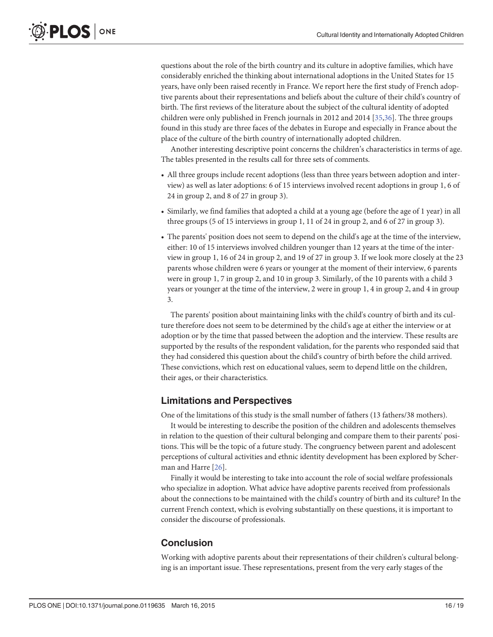questions about the role of the birth country and its culture in adoptive families, which have considerably enriched the thinking about international adoptions in the United States for 15 years, have only been raised recently in France. We report here the first study of French adoptive parents about their representations and beliefs about the culture of their child's country of birth. The first reviews of the literature about the subject of the cultural identity of adopted children were only published in French journals in 2012 and 2014 [[35,36\]](#page-17-0). The three groups found in this study are three faces of the debates in Europe and especially in France about the place of the culture of the birth country of internationally adopted children.

Another interesting descriptive point concerns the children's characteristics in terms of age. The tables presented in the results call for three sets of comments.

- All three groups include recent adoptions (less than three years between adoption and interview) as well as later adoptions: 6 of 15 interviews involved recent adoptions in group 1, 6 of 24 in group 2, and 8 of 27 in group 3).
- Similarly, we find families that adopted a child at a young age (before the age of 1 year) in all three groups (5 of 15 interviews in group 1, 11 of 24 in group 2, and 6 of 27 in group 3).
- The parents' position does not seem to depend on the child's age at the time of the interview, either: 10 of 15 interviews involved children younger than 12 years at the time of the interview in group 1, 16 of 24 in group 2, and 19 of 27 in group 3. If we look more closely at the 23 parents whose children were 6 years or younger at the moment of their interview, 6 parents were in group 1, 7 in group 2, and 10 in group 3. Similarly, of the 10 parents with a child 3 years or younger at the time of the interview, 2 were in group 1, 4 in group 2, and 4 in group 3.

The parents' position about maintaining links with the child's country of birth and its culture therefore does not seem to be determined by the child's age at either the interview or at adoption or by the time that passed between the adoption and the interview. These results are supported by the results of the respondent validation, for the parents who responded said that they had considered this question about the child's country of birth before the child arrived. These convictions, which rest on educational values, seem to depend little on the children, their ages, or their characteristics.

# Limitations and Perspectives

One of the limitations of this study is the small number of fathers (13 fathers/38 mothers).

It would be interesting to describe the position of the children and adolescents themselves in relation to the question of their cultural belonging and compare them to their parents' positions. This will be the topic of a future study. The congruency between parent and adolescent perceptions of cultural activities and ethnic identity development has been explored by Scherman and Harre [\[26](#page-17-0)].

Finally it would be interesting to take into account the role of social welfare professionals who specialize in adoption. What advice have adoptive parents received from professionals about the connections to be maintained with the child's country of birth and its culture? In the current French context, which is evolving substantially on these questions, it is important to consider the discourse of professionals.

# Conclusion

Working with adoptive parents about their representations of their children's cultural belonging is an important issue. These representations, present from the very early stages of the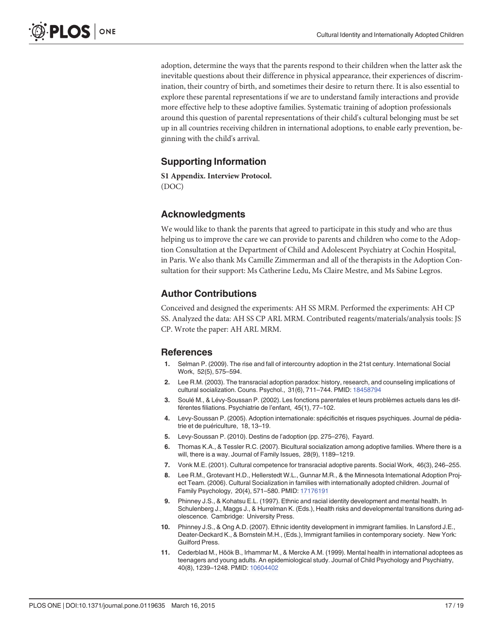<span id="page-16-0"></span>adoption, determine the ways that the parents respond to their children when the latter ask the inevitable questions about their difference in physical appearance, their experiences of discrimination, their country of birth, and sometimes their desire to return there. It is also essential to explore these parental representations if we are to understand family interactions and provide more effective help to these adoptive families. Systematic training of adoption professionals around this question of parental representations of their child's cultural belonging must be set up in all countries receiving children in international adoptions, to enable early prevention, beginning with the child's arrival.

# Supporting Information

[S1 Appendix.](http://www.plosone.org/article/fetchSingleRepresentation.action?uri=info:doi/10.1371/journal.pone.0119635.s001) Interview Protocol. (DOC)

# Acknowledgments

We would like to thank the parents that agreed to participate in this study and who are thus helping us to improve the care we can provide to parents and children who come to the Adoption Consultation at the Department of Child and Adolescent Psychiatry at Cochin Hospital, in Paris. We also thank Ms Camille Zimmerman and all of the therapists in the Adoption Consultation for their support: Ms Catherine Ledu, Ms Claire Mestre, and Ms Sabine Legros.

# Author Contributions

Conceived and designed the experiments: AH SS MRM. Performed the experiments: AH CP SS. Analyzed the data: AH SS CP ARL MRM. Contributed reagents/materials/analysis tools: JS CP. Wrote the paper: AH ARL MRM.

# References

- [1.](#page-1-0) Selman P. (2009). The rise and fall of intercountry adoption in the 21st century. International Social Work, 52(5), 575–594.
- [2.](#page-1-0) Lee R.M. (2003). The transracial adoption paradox: history, research, and counseling implications of cultural socialization. Couns. Psychol., 31(6), 711-744. PMID: [18458794](http://www.ncbi.nlm.nih.gov/pubmed/18458794)
- [3.](#page-1-0) Soulé M., & Lévy-Soussan P. (2002). Les fonctions parentales et leurs problèmes actuels dans les différentes filiations. Psychiatrie de l'enfant, 45(1), 77–102.
- [4.](#page-1-0) Levy-Soussan P. (2005). Adoption internationale: spécificités et risques psychiques. Journal de pédiatrie et de puériculture, 18, 13–19.
- [5.](#page-1-0) Levy-Soussan P. (2010). Destins de l'adoption (pp. 275–276), Fayard.
- [6.](#page-1-0) Thomas K.A., & Tessler R.C. (2007). Bicultural socialization among adoptive families. Where there is a will, there is a way. Journal of Family Issues, 28(9), 1189–1219.
- [7.](#page-1-0) Vonk M.E. (2001). Cultural competence for transracial adoptive parents. Social Work, 46(3), 246–255.
- [8.](#page-1-0) Lee R.M., Grotevant H.D., Hellerstedt W.L., Gunnar M.R., & the Minnesota International Adoption Project Team. (2006). Cultural Socialization in families with internationally adopted children. Journal of Family Psychology, 20(4), 571–580. PMID: [17176191](http://www.ncbi.nlm.nih.gov/pubmed/17176191)
- [9.](#page-1-0) Phinney J.S., & Kohatsu E.L. (1997). Ethnic and racial identity development and mental health. In Schulenberg J., Maggs J., & Hurrelman K. (Eds.), Health risks and developmental transitions during adolescence. Cambridge: University Press.
- [10.](#page-1-0) Phinney J.S., & Ong A.D. (2007). Ethnic identity development in immigrant families. In Lansford J.E., Deater-Deckard K., & Bornstein M.H., (Eds.), Immigrant families in contemporary society. New York: Guilford Press.
- [11.](#page-1-0) Cederblad M., Höök B., Irhammar M., & Mercke A.M. (1999). Mental health in international adoptees as teenagers and young adults. An epidemiological study. Journal of Child Psychology and Psychiatry, 40(8), 1239–1248. PMID: [10604402](http://www.ncbi.nlm.nih.gov/pubmed/10604402)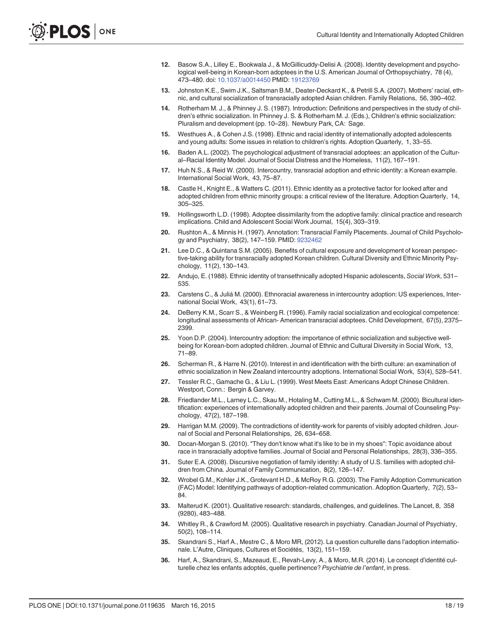- <span id="page-17-0"></span>[12.](#page-1-0) Basow S.A., Lilley E., Bookwala J., & McGillicuddy-Delisi A. (2008). Identity development and psychological well-being in Korean-born adoptees in the U.S. American Journal of Orthopsychiatry, 78 (4), 473–480. doi: [10.1037/a0014450](http://dx.doi.org/10.1037/a0014450) PMID: [19123769](http://www.ncbi.nlm.nih.gov/pubmed/19123769)
- [13.](#page-1-0) Johnston K.E., Swim J.K., Saltsman B.M., Deater-Deckard K., & Petrill S.A. (2007). Mothers' racial, ethnic, and cultural socialization of transracially adopted Asian children. Family Relations, 56, 390–402.
- [14.](#page-2-0) Rotherham M. J., & Phinney J. S. (1987). Introduction: Definitions and perspectives in the study of children's ethnic socialization. In Phinney J. S. & Rotherham M. J. (Eds.), Children's ethnic socialization: Pluralism and development (pp. 10–28). Newbury Park, CA: Sage.
- [15.](#page-2-0) Westhues A., & Cohen J.S. (1998). Ethnic and racial identity of internationally adopted adolescents and young adults: Some issues in relation to children's rights. Adoption Quarterly, 1, 33–55.
- [16.](#page-2-0) Baden A.L. (2002). The psychological adjustment of transracial adoptees: an application of the Cultural–Racial Identity Model. Journal of Social Distress and the Homeless, 11(2), 167–191.
- [17.](#page-2-0) Huh N.S., & Reid W. (2000). Intercountry, transracial adoption and ethnic identity: a Korean example. International Social Work, 43, 75–87.
- [18.](#page-2-0) Castle H., Knight E., & Watters C. (2011). Ethnic identity as a protective factor for looked after and adopted children from ethnic minority groups: a critical review of the literature. Adoption Quarterly, 14, 305–325.
- [19.](#page-2-0) Hollingsworth L.D. (1998). Adoptee dissimilarity from the adoptive family: clinical practice and research implications. Child and Adolescent Social Work Journal, 15(4), 303–319.
- [20.](#page-2-0) Rushton A., & Minnis H. (1997). Annotation: Transracial Family Placements. Journal of Child Psychology and Psychiatry, 38(2), 147–159. PMID: [9232462](http://www.ncbi.nlm.nih.gov/pubmed/9232462)
- [21.](#page-2-0) Lee D.C., & Quintana S.M. (2005). Benefits of cultural exposure and development of korean perspective-taking ability for transracially adopted Korean children. Cultural Diversity and Ethnic Minority Psychology, 11(2), 130–143.
- [22.](#page-2-0) Andujo, E. (1988). Ethnic identity of transethnically adopted Hispanic adolescents, Social Work, 531– 535.
- [23.](#page-2-0) Carstens C., & Juliá M. (2000). Ethnoracial awareness in intercountry adoption: US experiences, International Social Work, 43(1), 61–73.
- [24.](#page-2-0) DeBerry K.M., Scarr S., & Weinberg R. (1996). Family racial socialization and ecological competence: longitudinal assessments of African- American transracial adoptees. Child Development, 67(5), 2375– 2399.
- [25.](#page-2-0) Yoon D.P. (2004). Intercountry adoption: the importance of ethnic socialization and subjective wellbeing for Korean-born adopted children. Journal of Ethnic and Cultural Diversity in Social Work, 13, 71–89.
- [26.](#page-2-0) Scherman R., & Harre N. (2010). Interest in and identification with the birth culture: an examination of ethnic socialization in New Zealand intercountry adoptions. International Social Work, 53(4), 528–541.
- [27.](#page-2-0) Tessler R.C., Gamache G., & Liu L. (1999). West Meets East: Americans Adopt Chinese Children. Westport, Conn.: Bergin & Garvey.
- [28.](#page-2-0) Friedlander M.L., Larney L.C., Skau M., Hotaling M., Cutting M.L., & Schwam M. (2000). Bicultural identification: experiences of internationally adopted children and their parents. Journal of Counseling Psychology, 47(2), 187–198.
- [29.](#page-2-0) Harrigan M.M. (2009). The contradictions of identity-work for parents of visibly adopted children. Journal of Social and Personal Relationships, 26, 634–658.
- [30.](#page-2-0) Docan-Morgan S. (2010). "They don't know what it's like to be in my shoes": Topic avoidance about race in transracially adoptive families. Journal of Social and Personal Relationships, 28(3), 336–355.
- [31.](#page-2-0) Suter E.A. (2008). Discursive negotiation of family identity: A study of U.S. families with adopted children from China. Journal of Family Communication, 8(2), 126–147.
- [32.](#page-2-0) Wrobel G.M., Kohler J.K., Grotevant H.D., & McRoy R.G. (2003). The Family Adoption Communication (FAC) Model: Identifying pathways of adoption-related communication. Adoption Quarterly, 7(2), 53– 84.
- [33.](#page-2-0) Malterud K. (2001). Qualitative research: standards, challenges, and guidelines. The Lancet, 8, 358 (9280), 483–488.
- [34.](#page-2-0) Whitley R., & Crawford M. (2005). Qualitative research in psychiatry. Canadian Journal of Psychiatry, 50(2), 108–114.
- [35.](#page-2-0) Skandrani S., Harf A., Mestre C., & Moro MR, (2012). La question culturelle dans l'adoption internationale. L'Autre, Cliniques, Cultures et Sociétés, 13(2), 151–159.
- [36.](#page-2-0) Harf, A., Skandrani, S., Mazeaud, E., Revah-Levy, A., & Moro, M.R. (2014). Le concept d'identité culturelle chez les enfants adoptés, quelle pertinence? Psychiatrie de l'enfant, in press.